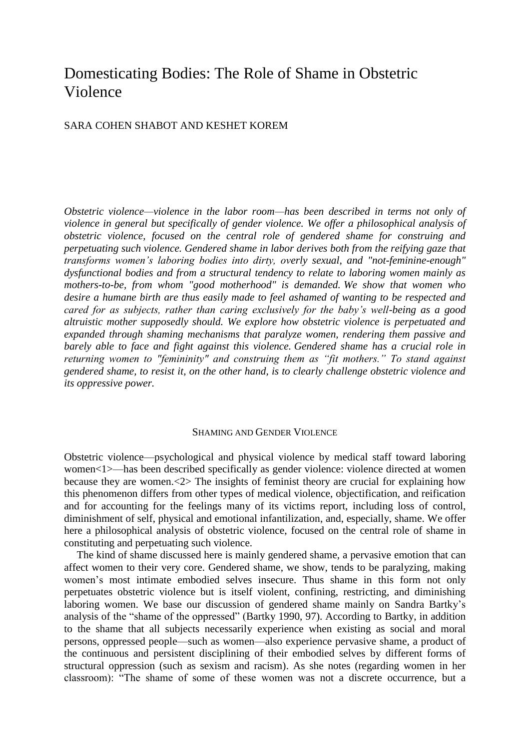# Domesticating Bodies: The Role of Shame in Obstetric Violence

# SARA COHEN SHABOT AND KESHET KOREM

*Obstetric violence—violence in the labor room—has been described in terms not only of violence in general but specifically of gender violence. We offer a philosophical analysis of obstetric violence, focused on the central role of gendered shame for construing and perpetuating such violence. Gendered shame in labor derives both from the reifying gaze that transforms women's laboring bodies into dirty, overly sexual, and "not-feminine-enough" dysfunctional bodies and from a structural tendency to relate to laboring women mainly as mothers-to-be, from whom "good motherhood" is demanded. We show that women who desire a humane birth are thus easily made to feel ashamed of wanting to be respected and cared for as subjects, rather than caring exclusively for the baby's well-being as a good altruistic mother supposedly should. We explore how obstetric violence is perpetuated and expanded through shaming mechanisms that paralyze women, rendering them passive and barely able to face and fight against this violence. Gendered shame has a crucial role in returning women to "femininity" and construing them as "fit mothers." To stand against gendered shame, to resist it, on the other hand, is to clearly challenge obstetric violence and its oppressive power.*

#### SHAMING AND GENDER VIOLENCE

Obstetric violence—psychological and physical violence by medical staff toward laboring women<1>—has been described specifically as gender violence: violence directed at women because they are women.<2> The insights of feminist theory are crucial for explaining how this phenomenon differs from other types of medical violence, objectification, and reification and for accounting for the feelings many of its victims report, including loss of control, diminishment of self, physical and emotional infantilization, and, especially, shame. We offer here a philosophical analysis of obstetric violence, focused on the central role of shame in constituting and perpetuating such violence.

The kind of shame discussed here is mainly gendered shame, a pervasive emotion that can affect women to their very core. Gendered shame, we show, tends to be paralyzing, making women's most intimate embodied selves insecure. Thus shame in this form not only perpetuates obstetric violence but is itself violent, confining, restricting, and diminishing laboring women. We base our discussion of gendered shame mainly on Sandra Bartky's analysis of the "shame of the oppressed" (Bartky 1990, 97). According to Bartky, in addition to the shame that all subjects necessarily experience when existing as social and moral persons, oppressed people—such as women—also experience pervasive shame, a product of the continuous and persistent disciplining of their embodied selves by different forms of structural oppression (such as sexism and racism). As she notes (regarding women in her classroom): "The shame of some of these women was not a discrete occurrence, but a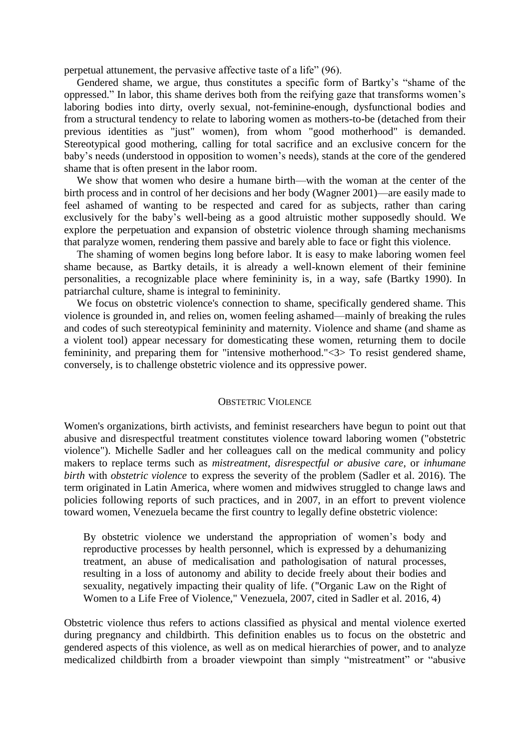perpetual attunement, the pervasive affective taste of a life" (96).

Gendered shame, we argue, thus constitutes a specific form of Bartky's "shame of the oppressed." In labor, this shame derives both from the reifying gaze that transforms women's laboring bodies into dirty, overly sexual, not-feminine-enough, dysfunctional bodies and from a structural tendency to relate to laboring women as mothers-to-be (detached from their previous identities as "just" women), from whom "good motherhood" is demanded. Stereotypical good mothering, calling for total sacrifice and an exclusive concern for the baby's needs (understood in opposition to women's needs), stands at the core of the gendered shame that is often present in the labor room.

We show that women who desire a humane birth—with the woman at the center of the birth process and in control of her decisions and her body (Wagner 2001)—are easily made to feel ashamed of wanting to be respected and cared for as subjects, rather than caring exclusively for the baby's well-being as a good altruistic mother supposedly should. We explore the perpetuation and expansion of obstetric violence through shaming mechanisms that paralyze women, rendering them passive and barely able to face or fight this violence.

The shaming of women begins long before labor. It is easy to make laboring women feel shame because, as Bartky details, it is already a well-known element of their feminine personalities, a recognizable place where femininity is, in a way, safe (Bartky 1990). In patriarchal culture, shame is integral to femininity.

We focus on obstetric violence's connection to shame, specifically gendered shame. This violence is grounded in, and relies on, women feeling ashamed—mainly of breaking the rules and codes of such stereotypical femininity and maternity. Violence and shame (and shame as a violent tool) appear necessary for domesticating these women, returning them to docile femininity, and preparing them for "intensive motherhood."<3> To resist gendered shame, conversely, is to challenge obstetric violence and its oppressive power.

#### OBSTETRIC VIOLENCE

Women's organizations, birth activists, and feminist researchers have begun to point out that abusive and disrespectful treatment constitutes violence toward laboring women ("obstetric violence"). Michelle Sadler and her colleagues call on the medical community and policy makers to replace terms such as *mistreatment*, *disrespectful or abusive care*, or *inhumane birth* with *obstetric violence* to express the severity of the problem (Sadler et al. 2016). The term originated in Latin America, where women and midwives struggled to change laws and policies following reports of such practices, and in 2007, in an effort to prevent violence toward women, Venezuela became the first country to legally define obstetric violence:

By obstetric violence we understand the appropriation of women's body and reproductive processes by health personnel, which is expressed by a dehumanizing treatment, an abuse of medicalisation and pathologisation of natural processes, resulting in a loss of autonomy and ability to decide freely about their bodies and sexuality, negatively impacting their quality of life. ("Organic Law on the Right of Women to a Life Free of Violence," Venezuela, 2007, cited in Sadler et al. 2016, 4)

Obstetric violence thus refers to actions classified as physical and mental violence exerted during pregnancy and childbirth. This definition enables us to focus on the obstetric and gendered aspects of this violence, as well as on medical hierarchies of power, and to analyze medicalized childbirth from a broader viewpoint than simply "mistreatment" or "abusive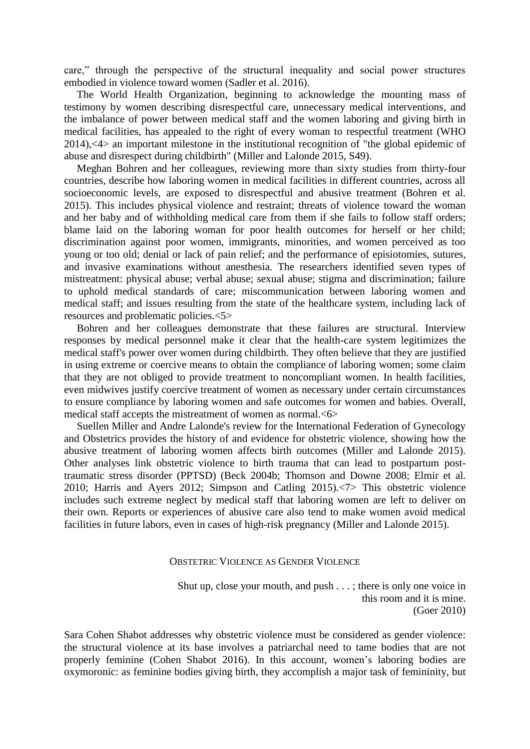care," through the perspective of the structural inequality and social power structures embodied in violence toward women (Sadler et al. 2016).

The World Health Organization, beginning to acknowledge the mounting mass of testimony by women describing disrespectful care, unnecessary medical interventions, and the imbalance of power between medical staff and the women laboring and giving birth in medical facilities, has appealed to the right of every woman to respectful treatment (WHO 2014),<4> an important milestone in the institutional recognition of "the global epidemic of abuse and disrespect during childbirth" (Miller and Lalonde 2015, S49).

Meghan Bohren and her colleagues, reviewing more than sixty studies from thirty-four countries, describe how laboring women in medical facilities in different countries, across all socioeconomic levels, are exposed to disrespectful and abusive treatment (Bohren et al. 2015). This includes physical violence and restraint; threats of violence toward the woman and her baby and of withholding medical care from them if she fails to follow staff orders; blame laid on the laboring woman for poor health outcomes for herself or her child; discrimination against poor women, immigrants, minorities, and women perceived as too young or too old; denial or lack of pain relief; and the performance of episiotomies, sutures, and invasive examinations without anesthesia. The researchers identified seven types of mistreatment: physical abuse; verbal abuse; sexual abuse; stigma and discrimination; failure to uphold medical standards of care; miscommunication between laboring women and medical staff; and issues resulting from the state of the healthcare system, including lack of resources and problematic policies.<5>

Bohren and her colleagues demonstrate that these failures are structural. Interview responses by medical personnel make it clear that the health-care system legitimizes the medical staff's power over women during childbirth. They often believe that they are justified in using extreme or coercive means to obtain the compliance of laboring women; some claim that they are not obliged to provide treatment to noncompliant women. In health facilities, even midwives justify coercive treatment of women as necessary under certain circumstances to ensure compliance by laboring women and safe outcomes for women and babies. Overall, medical staff accepts the mistreatment of women as normal.<6>

Suellen Miller and Andre Lalonde's review for the International Federation of Gynecology and Obstetrics provides the history of and evidence for obstetric violence, showing how the abusive treatment of laboring women affects birth outcomes (Miller and Lalonde 2015). Other analyses link obstetric violence to birth trauma that can lead to postpartum posttraumatic stress disorder (PPTSD) (Beck 2004b; Thomson and Downe 2008; Elmir et al. 2010; Harris and Ayers 2012; Simpson and Catling 2015).<7> This obstetric violence includes such extreme neglect by medical staff that laboring women are left to deliver on their own. Reports or experiences of abusive care also tend to make women avoid medical facilities in future labors, even in cases of high-risk pregnancy (Miller and Lalonde 2015).

#### OBSTETRIC VIOLENCE AS GENDER VIOLENCE

Shut up, close your mouth, and push . . . ; there is only one voice in this room and it is mine. (Goer 2010)

Sara Cohen Shabot addresses why obstetric violence must be considered as gender violence: the structural violence at its base involves a patriarchal need to tame bodies that are not properly feminine (Cohen Shabot 2016). In this account, women's laboring bodies are oxymoronic: as feminine bodies giving birth, they accomplish a major task of femininity, but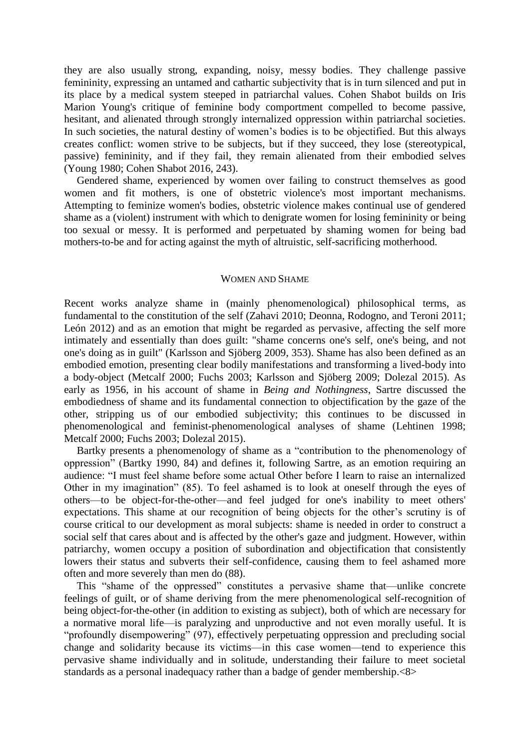they are also usually strong, expanding, noisy, messy bodies. They challenge passive femininity, expressing an untamed and cathartic subjectivity that is in turn silenced and put in its place by a medical system steeped in patriarchal values. Cohen Shabot builds on Iris Marion Young's critique of feminine body comportment compelled to become passive, hesitant, and alienated through strongly internalized oppression within patriarchal societies. In such societies, the natural destiny of women's bodies is to be objectified. But this always creates conflict: women strive to be subjects, but if they succeed, they lose (stereotypical, passive) femininity, and if they fail, they remain alienated from their embodied selves (Young 1980; Cohen Shabot 2016, 243).

Gendered shame, experienced by women over failing to construct themselves as good women and fit mothers, is one of obstetric violence's most important mechanisms. Attempting to feminize women's bodies, obstetric violence makes continual use of gendered shame as a (violent) instrument with which to denigrate women for losing femininity or being too sexual or messy. It is performed and perpetuated by shaming women for being bad mothers-to-be and for acting against the myth of altruistic, self-sacrificing motherhood.

# WOMEN AND SHAME

Recent works analyze shame in (mainly phenomenological) philosophical terms, as fundamental to the constitution of the self (Zahavi 2010; Deonna, Rodogno, and Teroni 2011; León 2012) and as an emotion that might be regarded as pervasive, affecting the self more intimately and essentially than does guilt: "shame concerns one's self, one's being, and not one's doing as in guilt" (Karlsson and Sjöberg 2009, 353). Shame has also been defined as an embodied emotion, presenting clear bodily manifestations and transforming a lived-body into a body-object (Metcalf 2000; Fuchs 2003; Karlsson and Sjöberg 2009; Dolezal 2015). As early as 1956, in his account of shame in *Being and Nothingness*, Sartre discussed the embodiedness of shame and its fundamental connection to objectification by the gaze of the other, stripping us of our embodied subjectivity; this continues to be discussed in phenomenological and feminist-phenomenological analyses of shame (Lehtinen 1998; Metcalf 2000; Fuchs 2003; Dolezal 2015).

Bartky presents a phenomenology of shame as a "contribution to the phenomenology of oppression" (Bartky 1990, 84) and defines it, following Sartre, as an emotion requiring an audience: "I must feel shame before some actual Other before I learn to raise an internalized Other in my imagination" (85). To feel ashamed is to look at oneself through the eyes of others—to be object-for-the-other—and feel judged for one's inability to meet others' expectations. This shame at our recognition of being objects for the other's scrutiny is of course critical to our development as moral subjects: shame is needed in order to construct a social self that cares about and is affected by the other's gaze and judgment. However, within patriarchy, women occupy a position of subordination and objectification that consistently lowers their status and subverts their self-confidence, causing them to feel ashamed more often and more severely than men do (88).

This "shame of the oppressed" constitutes a pervasive shame that—unlike concrete feelings of guilt, or of shame deriving from the mere phenomenological self-recognition of being object-for-the-other (in addition to existing as subject), both of which are necessary for a normative moral life—is paralyzing and unproductive and not even morally useful. It is "profoundly disempowering" (97), effectively perpetuating oppression and precluding social change and solidarity because its victims—in this case women—tend to experience this pervasive shame individually and in solitude, understanding their failure to meet societal standards as a personal inadequacy rather than a badge of gender membership.<8>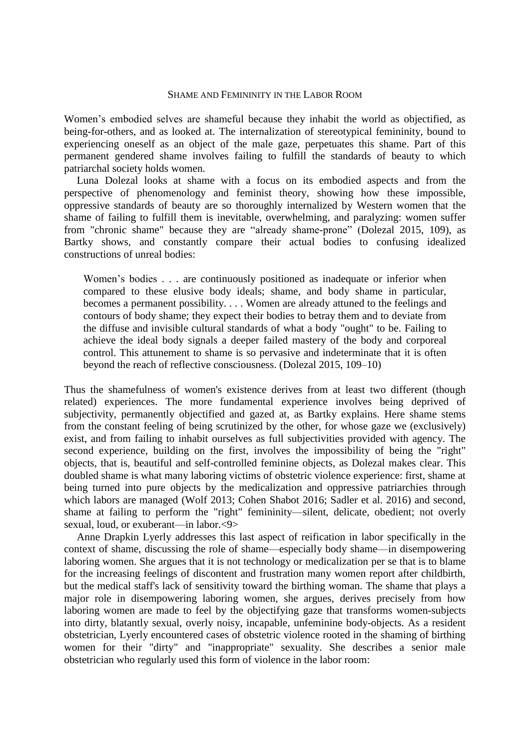### SHAME AND FEMININITY IN THE LABOR ROOM

Women's embodied selves are shameful because they inhabit the world as objectified, as being-for-others, and as looked at. The internalization of stereotypical femininity, bound to experiencing oneself as an object of the male gaze, perpetuates this shame. Part of this permanent gendered shame involves failing to fulfill the standards of beauty to which patriarchal society holds women.

Luna Dolezal looks at shame with a focus on its embodied aspects and from the perspective of phenomenology and feminist theory, showing how these impossible, oppressive standards of beauty are so thoroughly internalized by Western women that the shame of failing to fulfill them is inevitable, overwhelming, and paralyzing: women suffer from "chronic shame" because they are "already shame-prone" (Dolezal 2015, 109), as Bartky shows, and constantly compare their actual bodies to confusing idealized constructions of unreal bodies:

Women's bodies . . . are continuously positioned as inadequate or inferior when compared to these elusive body ideals; shame, and body shame in particular, becomes a permanent possibility. . . . Women are already attuned to the feelings and contours of body shame; they expect their bodies to betray them and to deviate from the diffuse and invisible cultural standards of what a body "ought" to be. Failing to achieve the ideal body signals a deeper failed mastery of the body and corporeal control. This attunement to shame is so pervasive and indeterminate that it is often beyond the reach of reflective consciousness. (Dolezal 2015, 109–10)

Thus the shamefulness of women's existence derives from at least two different (though related) experiences. The more fundamental experience involves being deprived of subjectivity, permanently objectified and gazed at, as Bartky explains. Here shame stems from the constant feeling of being scrutinized by the other, for whose gaze we (exclusively) exist, and from failing to inhabit ourselves as full subjectivities provided with agency. The second experience, building on the first, involves the impossibility of being the "right" objects, that is, beautiful and self-controlled feminine objects, as Dolezal makes clear. This doubled shame is what many laboring victims of obstetric violence experience: first, shame at being turned into pure objects by the medicalization and oppressive patriarchies through which labors are managed (Wolf 2013; Cohen Shabot 2016; Sadler et al. 2016) and second, shame at failing to perform the "right" femininity—silent, delicate, obedient; not overly sexual, loud, or exuberant—in labor.<9>

Anne Drapkin Lyerly addresses this last aspect of reification in labor specifically in the context of shame, discussing the role of shame—especially body shame—in disempowering laboring women. She argues that it is not technology or medicalization per se that is to blame for the increasing feelings of discontent and frustration many women report after childbirth, but the medical staff's lack of sensitivity toward the birthing woman. The shame that plays a major role in disempowering laboring women, she argues, derives precisely from how laboring women are made to feel by the objectifying gaze that transforms women-subjects into dirty, blatantly sexual, overly noisy, incapable, unfeminine body-objects. As a resident obstetrician, Lyerly encountered cases of obstetric violence rooted in the shaming of birthing women for their "dirty" and "inappropriate" sexuality. She describes a senior male obstetrician who regularly used this form of violence in the labor room: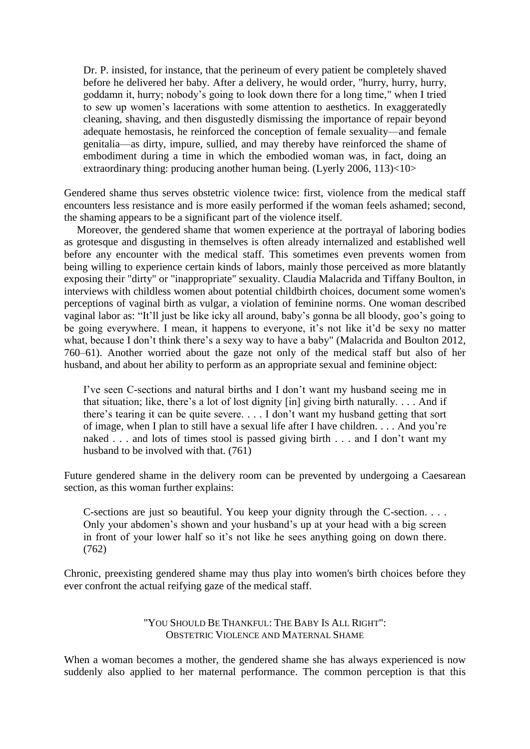Dr. P. insisted, for instance, that the perineum of every patient be completely shaved before he delivered her baby. After a delivery, he would order, "hurry, hurry, hurry, goddamn it, hurry; nobody's going to look down there for a long time," when I tried to sew up women's lacerations with some attention to aesthetics. In exaggeratedly cleaning, shaving, and then disgustedly dismissing the importance of repair beyond adequate hemostasis, he reinforced the conception of female sexuality—and female genitalia—as dirty, impure, sullied, and may thereby have reinforced the shame of embodiment during a time in which the embodied woman was, in fact, doing an extraordinary thing: producing another human being. (Lyerly 2006, 113)<10>

Gendered shame thus serves obstetric violence twice: first, violence from the medical staff encounters less resistance and is more easily performed if the woman feels ashamed; second, the shaming appears to be a significant part of the violence itself.

Moreover, the gendered shame that women experience at the portrayal of laboring bodies as grotesque and disgusting in themselves is often already internalized and established well before any encounter with the medical staff. This sometimes even prevents women from being willing to experience certain kinds of labors, mainly those perceived as more blatantly exposing their "dirty" or "inappropriate" sexuality. Claudia Malacrida and Tiffany Boulton, in interviews with childless women about potential childbirth choices, document some women's perceptions of vaginal birth as vulgar, a violation of feminine norms. One woman described vaginal labor as: "It'll just be like icky all around, baby's gonna be all bloody, goo's going to be going everywhere. I mean, it happens to everyone, it's not like it'd be sexy no matter what, because I don't think there's a sexy way to have a baby" (Malacrida and Boulton 2012, 760–61). Another worried about the gaze not only of the medical staff but also of her husband, and about her ability to perform as an appropriate sexual and feminine object:

I've seen C-sections and natural births and I don't want my husband seeing me in that situation; like, there's a lot of lost dignity [in] giving birth naturally. . . . And if there's tearing it can be quite severe. . . . I don't want my husband getting that sort of image, when I plan to still have a sexual life after I have children. . . . And you're naked . . . and lots of times stool is passed giving birth . . . and I don't want my husband to be involved with that. (761)

Future gendered shame in the delivery room can be prevented by undergoing a Caesarean section, as this woman further explains:

C-sections are just so beautiful. You keep your dignity through the C-section. . . . Only your abdomen's shown and your husband's up at your head with a big screen in front of your lower half so it's not like he sees anything going on down there. (762)

Chronic, preexisting gendered shame may thus play into women's birth choices before they ever confront the actual reifying gaze of the medical staff.

> "YOU SHOULD BE THANKFUL: THE BABY IS ALL RIGHT": OBSTETRIC VIOLENCE AND MATERNAL SHAME

When a woman becomes a mother, the gendered shame she has always experienced is now suddenly also applied to her maternal performance. The common perception is that this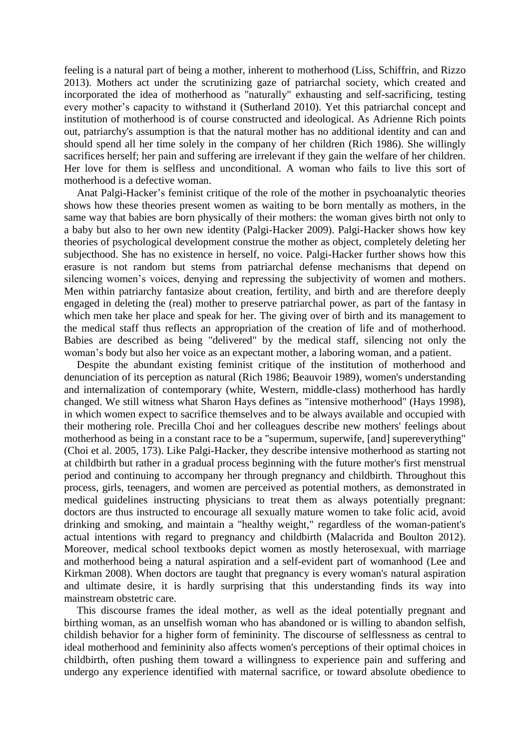feeling is a natural part of being a mother, inherent to motherhood (Liss, Schiffrin, and Rizzo 2013). Mothers act under the scrutinizing gaze of patriarchal society, which created and incorporated the idea of motherhood as "naturally" exhausting and self-sacrificing, testing every mother's capacity to withstand it (Sutherland 2010). Yet this patriarchal concept and institution of motherhood is of course constructed and ideological. As Adrienne Rich points out, patriarchy's assumption is that the natural mother has no additional identity and can and should spend all her time solely in the company of her children (Rich 1986). She willingly sacrifices herself; her pain and suffering are irrelevant if they gain the welfare of her children. Her love for them is selfless and unconditional. A woman who fails to live this sort of motherhood is a defective woman.

Anat Palgi-Hacker's feminist critique of the role of the mother in psychoanalytic theories shows how these theories present women as waiting to be born mentally as mothers, in the same way that babies are born physically of their mothers: the woman gives birth not only to a baby but also to her own new identity (Palgi-Hacker 2009). Palgi-Hacker shows how key theories of psychological development construe the mother as object, completely deleting her subjecthood. She has no existence in herself, no voice. Palgi-Hacker further shows how this erasure is not random but stems from patriarchal defense mechanisms that depend on silencing women's voices, denying and repressing the subjectivity of women and mothers. Men within patriarchy fantasize about creation, fertility, and birth and are therefore deeply engaged in deleting the (real) mother to preserve patriarchal power, as part of the fantasy in which men take her place and speak for her. The giving over of birth and its management to the medical staff thus reflects an appropriation of the creation of life and of motherhood. Babies are described as being "delivered" by the medical staff, silencing not only the woman's body but also her voice as an expectant mother, a laboring woman, and a patient.

Despite the abundant existing feminist critique of the institution of motherhood and denunciation of its perception as natural (Rich 1986; Beauvoir 1989), women's understanding and internalization of contemporary (white, Western, middle-class) motherhood has hardly changed. We still witness what Sharon Hays defines as "intensive motherhood" (Hays 1998), in which women expect to sacrifice themselves and to be always available and occupied with their mothering role. Precilla Choi and her colleagues describe new mothers' feelings about motherhood as being in a constant race to be a "supermum, superwife, [and] supereverything" (Choi et al. 2005, 173). Like Palgi-Hacker, they describe intensive motherhood as starting not at childbirth but rather in a gradual process beginning with the future mother's first menstrual period and continuing to accompany her through pregnancy and childbirth. Throughout this process, girls, teenagers, and women are perceived as potential mothers, as demonstrated in medical guidelines instructing physicians to treat them as always potentially pregnant: doctors are thus instructed to encourage all sexually mature women to take folic acid, avoid drinking and smoking, and maintain a "healthy weight," regardless of the woman-patient's actual intentions with regard to pregnancy and childbirth (Malacrida and Boulton 2012). Moreover, medical school textbooks depict women as mostly heterosexual, with marriage and motherhood being a natural aspiration and a self-evident part of womanhood (Lee and Kirkman 2008). When doctors are taught that pregnancy is every woman's natural aspiration and ultimate desire, it is hardly surprising that this understanding finds its way into mainstream obstetric care.

This discourse frames the ideal mother, as well as the ideal potentially pregnant and birthing woman, as an unselfish woman who has abandoned or is willing to abandon selfish, childish behavior for a higher form of femininity. The discourse of selflessness as central to ideal motherhood and femininity also affects women's perceptions of their optimal choices in childbirth, often pushing them toward a willingness to experience pain and suffering and undergo any experience identified with maternal sacrifice, or toward absolute obedience to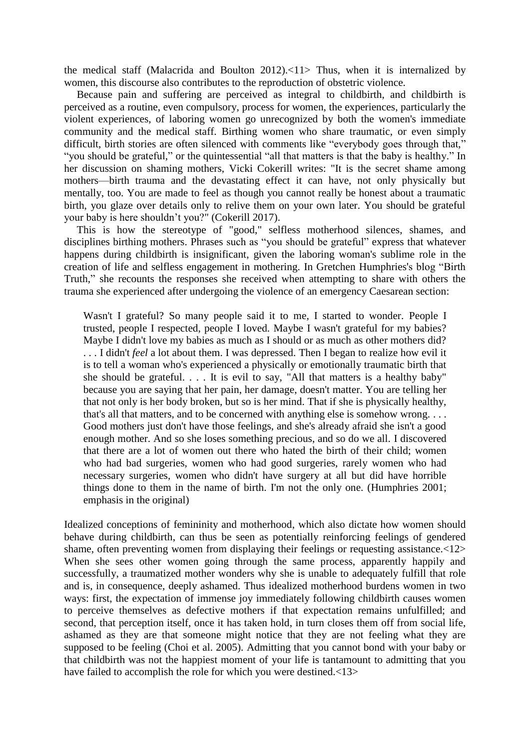the medical staff (Malacrida and Boulton 2012).<11> Thus, when it is internalized by women, this discourse also contributes to the reproduction of obstetric violence.

Because pain and suffering are perceived as integral to childbirth, and childbirth is perceived as a routine, even compulsory, process for women, the experiences, particularly the violent experiences, of laboring women go unrecognized by both the women's immediate community and the medical staff. Birthing women who share traumatic, or even simply difficult, birth stories are often silenced with comments like "everybody goes through that," "you should be grateful," or the quintessential "all that matters is that the baby is healthy." In her discussion on shaming mothers, Vicki Cokerill writes: "It is the secret shame among mothers—birth trauma and the devastating effect it can have, not only physically but mentally, too. You are made to feel as though you cannot really be honest about a traumatic birth, you glaze over details only to relive them on your own later. You should be grateful your baby is here shouldn't you?" (Cokerill 2017).

This is how the stereotype of "good," selfless motherhood silences, shames, and disciplines birthing mothers. Phrases such as "you should be grateful" express that whatever happens during childbirth is insignificant, given the laboring woman's sublime role in the creation of life and selfless engagement in mothering. In Gretchen Humphries's blog "Birth Truth," she recounts the responses she received when attempting to share with others the trauma she experienced after undergoing the violence of an emergency Caesarean section:

Wasn't I grateful? So many people said it to me, I started to wonder. People I trusted, people I respected, people I loved. Maybe I wasn't grateful for my babies? Maybe I didn't love my babies as much as I should or as much as other mothers did? . . . I didn't *feel* a lot about them. I was depressed. Then I began to realize how evil it is to tell a woman who's experienced a physically or emotionally traumatic birth that she should be grateful. . . . It is evil to say, "All that matters is a healthy baby" because you are saying that her pain, her damage, doesn't matter. You are telling her that not only is her body broken, but so is her mind. That if she is physically healthy, that's all that matters, and to be concerned with anything else is somehow wrong. . . . Good mothers just don't have those feelings, and she's already afraid she isn't a good enough mother. And so she loses something precious, and so do we all. I discovered that there are a lot of women out there who hated the birth of their child; women who had bad surgeries, women who had good surgeries, rarely women who had necessary surgeries, women who didn't have surgery at all but did have horrible things done to them in the name of birth. I'm not the only one. (Humphries 2001; emphasis in the original)

Idealized conceptions of femininity and motherhood, which also dictate how women should behave during childbirth, can thus be seen as potentially reinforcing feelings of gendered shame, often preventing women from displaying their feelings or requesting assistance.<12> When she sees other women going through the same process, apparently happily and successfully, a traumatized mother wonders why she is unable to adequately fulfill that role and is, in consequence, deeply ashamed. Thus idealized motherhood burdens women in two ways: first, the expectation of immense joy immediately following childbirth causes women to perceive themselves as defective mothers if that expectation remains unfulfilled; and second, that perception itself, once it has taken hold, in turn closes them off from social life, ashamed as they are that someone might notice that they are not feeling what they are supposed to be feeling (Choi et al. 2005). Admitting that you cannot bond with your baby or that childbirth was not the happiest moment of your life is tantamount to admitting that you have failed to accomplish the role for which you were destined.<13>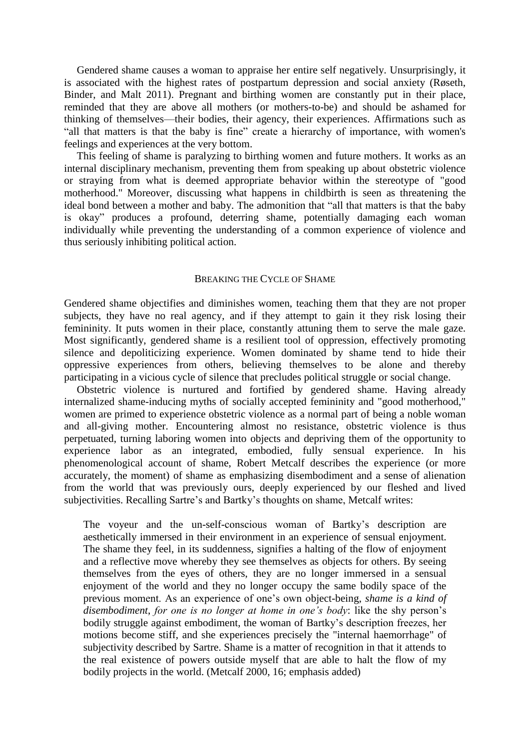Gendered shame causes a woman to appraise her entire self negatively. Unsurprisingly, it is associated with the highest rates of postpartum depression and social anxiety (Røseth, Binder, and Malt 2011). Pregnant and birthing women are constantly put in their place, reminded that they are above all mothers (or mothers-to-be) and should be ashamed for thinking of themselves—their bodies, their agency, their experiences. Affirmations such as "all that matters is that the baby is fine" create a hierarchy of importance, with women's feelings and experiences at the very bottom.

This feeling of shame is paralyzing to birthing women and future mothers. It works as an internal disciplinary mechanism, preventing them from speaking up about obstetric violence or straying from what is deemed appropriate behavior within the stereotype of "good motherhood." Moreover, discussing what happens in childbirth is seen as threatening the ideal bond between a mother and baby. The admonition that "all that matters is that the baby is okay" produces a profound, deterring shame, potentially damaging each woman individually while preventing the understanding of a common experience of violence and thus seriously inhibiting political action.

# BREAKING THE CYCLE OF SHAME

Gendered shame objectifies and diminishes women, teaching them that they are not proper subjects, they have no real agency, and if they attempt to gain it they risk losing their femininity. It puts women in their place, constantly attuning them to serve the male gaze. Most significantly, gendered shame is a resilient tool of oppression, effectively promoting silence and depoliticizing experience. Women dominated by shame tend to hide their oppressive experiences from others, believing themselves to be alone and thereby participating in a vicious cycle of silence that precludes political struggle or social change.

Obstetric violence is nurtured and fortified by gendered shame. Having already internalized shame-inducing myths of socially accepted femininity and "good motherhood," women are primed to experience obstetric violence as a normal part of being a noble woman and all-giving mother. Encountering almost no resistance, obstetric violence is thus perpetuated, turning laboring women into objects and depriving them of the opportunity to experience labor as an integrated, embodied, fully sensual experience. In his phenomenological account of shame, Robert Metcalf describes the experience (or more accurately, the moment) of shame as emphasizing disembodiment and a sense of alienation from the world that was previously ours, deeply experienced by our fleshed and lived subjectivities. Recalling Sartre's and Bartky's thoughts on shame, Metcalf writes:

The voyeur and the un-self-conscious woman of Bartky's description are aesthetically immersed in their environment in an experience of sensual enjoyment. The shame they feel, in its suddenness, signifies a halting of the flow of enjoyment and a reflective move whereby they see themselves as objects for others. By seeing themselves from the eyes of others, they are no longer immersed in a sensual enjoyment of the world and they no longer occupy the same bodily space of the previous moment. As an experience of one's own object-being, *shame is a kind of disembodiment*, *for one is no longer at home in one's body*: like the shy person's bodily struggle against embodiment, the woman of Bartky's description freezes, her motions become stiff, and she experiences precisely the "internal haemorrhage" of subjectivity described by Sartre. Shame is a matter of recognition in that it attends to the real existence of powers outside myself that are able to halt the flow of my bodily projects in the world. (Metcalf 2000, 16; emphasis added)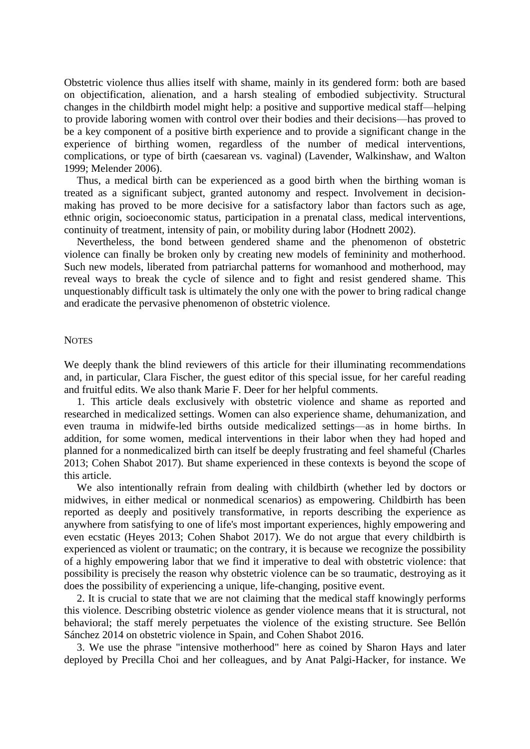Obstetric violence thus allies itself with shame, mainly in its gendered form: both are based on objectification, alienation, and a harsh stealing of embodied subjectivity. Structural changes in the childbirth model might help: a positive and supportive medical staff—helping to provide laboring women with control over their bodies and their decisions—has proved to be a key component of a positive birth experience and to provide a significant change in the experience of birthing women, regardless of the number of medical interventions, complications, or type of birth (caesarean vs. vaginal) (Lavender, Walkinshaw, and Walton 1999; Melender 2006).

Thus, a medical birth can be experienced as a good birth when the birthing woman is treated as a significant subject, granted autonomy and respect. Involvement in decisionmaking has proved to be more decisive for a satisfactory labor than factors such as age, ethnic origin, socioeconomic status, participation in a prenatal class, medical interventions, continuity of treatment, intensity of pain, or mobility during labor (Hodnett 2002).

Nevertheless, the bond between gendered shame and the phenomenon of obstetric violence can finally be broken only by creating new models of femininity and motherhood. Such new models, liberated from patriarchal patterns for womanhood and motherhood, may reveal ways to break the cycle of silence and to fight and resist gendered shame. This unquestionably difficult task is ultimately the only one with the power to bring radical change and eradicate the pervasive phenomenon of obstetric violence.

# **NOTES**

We deeply thank the blind reviewers of this article for their illuminating recommendations and, in particular, Clara Fischer, the guest editor of this special issue, for her careful reading and fruitful edits. We also thank Marie F. Deer for her helpful comments.

1. This article deals exclusively with obstetric violence and shame as reported and researched in medicalized settings. Women can also experience shame, dehumanization, and even trauma in midwife-led births outside medicalized settings—as in home births. In addition, for some women, medical interventions in their labor when they had hoped and planned for a nonmedicalized birth can itself be deeply frustrating and feel shameful (Charles 2013; Cohen Shabot 2017). But shame experienced in these contexts is beyond the scope of this article.

We also intentionally refrain from dealing with childbirth (whether led by doctors or midwives, in either medical or nonmedical scenarios) as empowering. Childbirth has been reported as deeply and positively transformative, in reports describing the experience as anywhere from satisfying to one of life's most important experiences, highly empowering and even ecstatic (Heyes 2013; Cohen Shabot 2017). We do not argue that every childbirth is experienced as violent or traumatic; on the contrary, it is because we recognize the possibility of a highly empowering labor that we find it imperative to deal with obstetric violence: that possibility is precisely the reason why obstetric violence can be so traumatic, destroying as it does the possibility of experiencing a unique, life-changing, positive event.

2. It is crucial to state that we are not claiming that the medical staff knowingly performs this violence. Describing obstetric violence as gender violence means that it is structural, not behavioral; the staff merely perpetuates the violence of the existing structure. See Bellón Sánchez 2014 on obstetric violence in Spain, and Cohen Shabot 2016.

3. We use the phrase "intensive motherhood" here as coined by Sharon Hays and later deployed by Precilla Choi and her colleagues, and by Anat Palgi-Hacker, for instance. We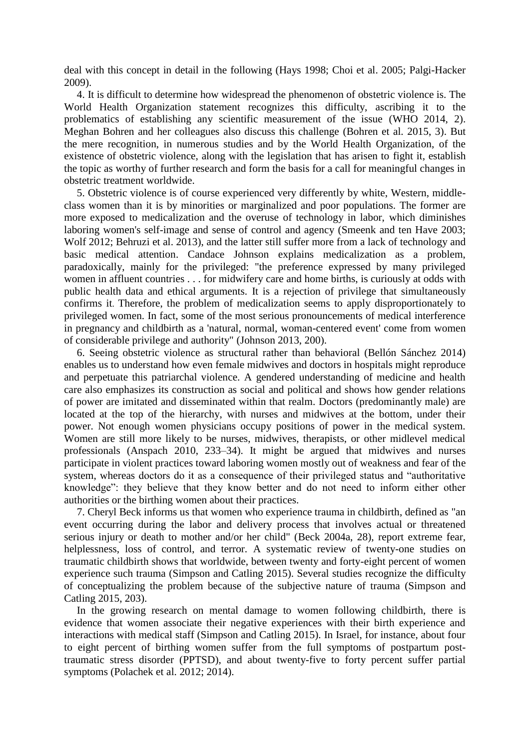deal with this concept in detail in the following (Hays 1998; Choi et al. 2005; Palgi-Hacker 2009).

4. It is difficult to determine how widespread the phenomenon of obstetric violence is. The World Health Organization statement recognizes this difficulty, ascribing it to the problematics of establishing any scientific measurement of the issue (WHO 2014, 2). Meghan Bohren and her colleagues also discuss this challenge (Bohren et al. 2015, 3). But the mere recognition, in numerous studies and by the World Health Organization, of the existence of obstetric violence, along with the legislation that has arisen to fight it, establish the topic as worthy of further research and form the basis for a call for meaningful changes in obstetric treatment worldwide.

5. Obstetric violence is of course experienced very differently by white, Western, middleclass women than it is by minorities or marginalized and poor populations. The former are more exposed to medicalization and the overuse of technology in labor, which diminishes laboring women's self-image and sense of control and agency (Smeenk and ten Have 2003; Wolf 2012; Behruzi et al. 2013), and the latter still suffer more from a lack of technology and basic medical attention. Candace Johnson explains medicalization as a problem, paradoxically, mainly for the privileged: "the preference expressed by many privileged women in affluent countries . . . for midwifery care and home births, is curiously at odds with public health data and ethical arguments. It is a rejection of privilege that simultaneously confirms it. Therefore, the problem of medicalization seems to apply disproportionately to privileged women. In fact, some of the most serious pronouncements of medical interference in pregnancy and childbirth as a 'natural, normal, woman-centered event' come from women of considerable privilege and authority" (Johnson 2013, 200).

6. Seeing obstetric violence as structural rather than behavioral (Bellón Sánchez 2014) enables us to understand how even female midwives and doctors in hospitals might reproduce and perpetuate this patriarchal violence. A gendered understanding of medicine and health care also emphasizes its construction as social and political and shows how gender relations of power are imitated and disseminated within that realm. Doctors (predominantly male) are located at the top of the hierarchy, with nurses and midwives at the bottom, under their power. Not enough women physicians occupy positions of power in the medical system. Women are still more likely to be nurses, midwives, therapists, or other midlevel medical professionals (Anspach 2010, 233–34). It might be argued that midwives and nurses participate in violent practices toward laboring women mostly out of weakness and fear of the system, whereas doctors do it as a consequence of their privileged status and "authoritative knowledge": they believe that they know better and do not need to inform either other authorities or the birthing women about their practices.

7. Cheryl Beck informs us that women who experience trauma in childbirth, defined as "an event occurring during the labor and delivery process that involves actual or threatened serious injury or death to mother and/or her child" (Beck 2004a, 28), report extreme fear, helplessness, loss of control, and terror. A systematic review of twenty-one studies on traumatic childbirth shows that worldwide, between twenty and forty-eight percent of women experience such trauma (Simpson and Catling 2015). Several studies recognize the difficulty of conceptualizing the problem because of the subjective nature of trauma (Simpson and Catling 2015, 203).

In the growing research on mental damage to women following childbirth, there is evidence that women associate their negative experiences with their birth experience and interactions with medical staff (Simpson and Catling 2015). In Israel, for instance, about four to eight percent of birthing women suffer from the full symptoms of postpartum posttraumatic stress disorder (PPTSD), and about twenty-five to forty percent suffer partial symptoms (Polachek et al. 2012; 2014).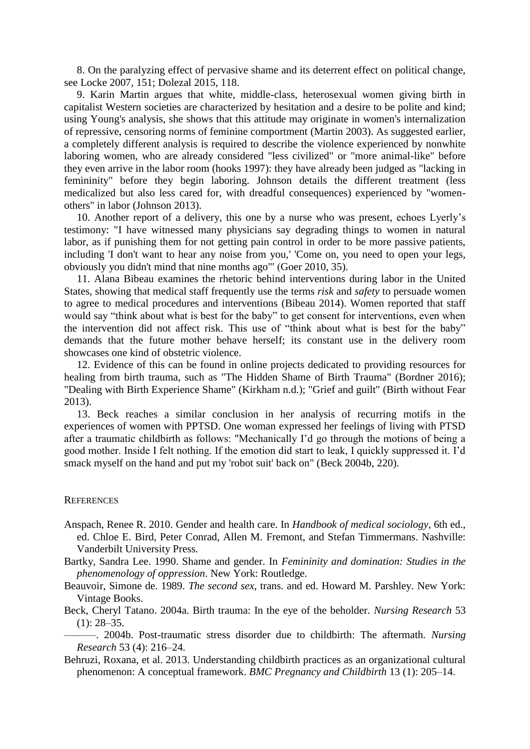8. On the paralyzing effect of pervasive shame and its deterrent effect on political change, see Locke 2007, 151; Dolezal 2015, 118.

9. Karin Martin argues that white, middle-class, heterosexual women giving birth in capitalist Western societies are characterized by hesitation and a desire to be polite and kind; using Young's analysis, she shows that this attitude may originate in women's internalization of repressive, censoring norms of feminine comportment (Martin 2003). As suggested earlier, a completely different analysis is required to describe the violence experienced by nonwhite laboring women, who are already considered "less civilized" or "more animal-like" before they even arrive in the labor room (hooks 1997): they have already been judged as "lacking in femininity" before they begin laboring. Johnson details the different treatment (less medicalized but also less cared for, with dreadful consequences) experienced by "womenothers" in labor (Johnson 2013).

10. Another report of a delivery, this one by a nurse who was present, echoes Lyerly's testimony: "I have witnessed many physicians say degrading things to women in natural labor, as if punishing them for not getting pain control in order to be more passive patients, including 'I don't want to hear any noise from you,' 'Come on, you need to open your legs, obviously you didn't mind that nine months ago'" (Goer 2010, 35).

11. Alana Bibeau examines the rhetoric behind interventions during labor in the United States, showing that medical staff frequently use the terms *risk* and *safety* to persuade women to agree to medical procedures and interventions (Bibeau 2014). Women reported that staff would say "think about what is best for the baby" to get consent for interventions, even when the intervention did not affect risk. This use of "think about what is best for the baby" demands that the future mother behave herself; its constant use in the delivery room showcases one kind of obstetric violence.

12. Evidence of this can be found in online projects dedicated to providing resources for healing from birth trauma, such as "The Hidden Shame of Birth Trauma" (Bordner 2016); "Dealing with Birth Experience Shame" (Kirkham n.d.); "Grief and guilt" (Birth without Fear 2013).

13. Beck reaches a similar conclusion in her analysis of recurring motifs in the experiences of women with PPTSD. One woman expressed her feelings of living with PTSD after a traumatic childbirth as follows: "Mechanically I'd go through the motions of being a good mother. Inside I felt nothing. If the emotion did start to leak, I quickly suppressed it. I'd smack myself on the hand and put my 'robot suit' back on" (Beck 2004b, 220).

#### **REFERENCES**

- Anspach, Renee R. 2010. Gender and health care. In *Handbook of medical sociology*, 6th ed., ed. Chloe E. Bird, Peter Conrad, Allen M. Fremont, and Stefan Timmermans. Nashville: Vanderbilt University Press.
- Bartky, Sandra Lee. 1990. Shame and gender. In *Femininity and domination: Studies in the phenomenology of oppression*. New York: Routledge.
- Beauvoir, Simone de. 1989. *The second sex*, trans. and ed. Howard M. Parshley. New York: Vintage Books.
- Beck, Cheryl Tatano. 2004a. Birth trauma: In the eye of the beholder. *Nursing Research* 53  $(1): 28-35.$ 
	- ———. 2004b. Post-traumatic stress disorder due to childbirth: The aftermath. *Nursing Research* 53 (4): 216–24.
- Behruzi, Roxana, et al. 2013. Understanding childbirth practices as an organizational cultural phenomenon: A conceptual framework. *BMC Pregnancy and Childbirth* 13 (1): 205–14.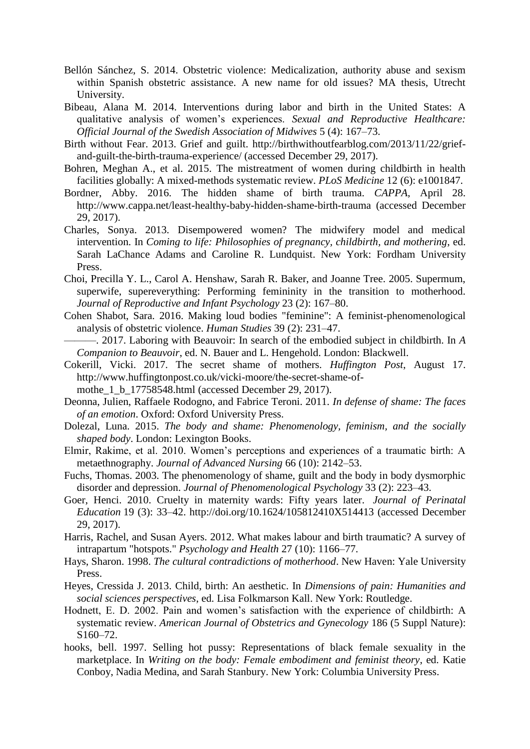- Bellón Sánchez, S. 2014. Obstetric violence: Medicalization, authority abuse and sexism within Spanish obstetric assistance. A new name for old issues? MA thesis, Utrecht University.
- Bibeau, Alana M. 2014. Interventions during labor and birth in the United States: A qualitative analysis of women's experiences. *Sexual and Reproductive Healthcare: Official Journal of the Swedish Association of Midwives* 5 (4): 167–73.
- Birth without Fear. 2013. Grief and guilt. http://birthwithoutfearblog.com/2013/11/22/griefand-guilt-the-birth-trauma-experience/ (accessed December 29, 2017).
- Bohren, Meghan A., et al. 2015. The mistreatment of women during childbirth in health facilities globally: A mixed-methods systematic review. *PLoS Medicine* 12 (6): e1001847.
- Bordner, Abby. 2016. The hidden shame of birth trauma. *CAPPA*, April 28. http://www.cappa.net/least-healthy-baby-hidden-shame-birth-trauma (accessed December 29, 2017).
- Charles, Sonya. 2013. Disempowered women? The midwifery model and medical intervention. In *Coming to life: Philosophies of pregnancy, childbirth, and mothering*, ed. Sarah LaChance Adams and Caroline R. Lundquist. New York: Fordham University Press.
- Choi, Precilla Y. L., Carol A. Henshaw, Sarah R. Baker, and Joanne Tree. 2005. Supermum, superwife, supereverything: Performing femininity in the transition to motherhood. *Journal of Reproductive and Infant Psychology* 23 (2): 167–80.
- Cohen Shabot, Sara. 2016. Making loud bodies "feminine": A feminist-phenomenological analysis of obstetric violence. *Human Studies* 39 (2): 231–47.
- ———. 2017. Laboring with Beauvoir: In search of the embodied subject in childbirth. In *A Companion to Beauvoir*, ed. N. Bauer and L. Hengehold. London: Blackwell.
- Cokerill, Vicki. 2017. The secret shame of mothers. *Huffington Post*, August 17. http://www.huffingtonpost.co.uk/vicki-moore/the-secret-shame-of
	- mothe\_1\_b\_17758548.html (accessed December 29, 2017).
- Deonna, Julien, Raffaele Rodogno, and Fabrice Teroni. 2011. *In defense of shame: The faces of an emotion*. Oxford: Oxford University Press.
- Dolezal, Luna. 2015. *The body and shame: Phenomenology, feminism, and the socially shaped body*. London: Lexington Books.
- Elmir, Rakime, et al. 2010. Women's perceptions and experiences of a traumatic birth: A metaethnography. *Journal of Advanced Nursing* 66 (10): 2142–53.
- Fuchs, Thomas. 2003. The phenomenology of shame, guilt and the body in body dysmorphic disorder and depression. *Journal of Phenomenological Psychology* 33 (2): 223–43.
- Goer, Henci. 2010. Cruelty in maternity wards: Fifty years later. *Journal of Perinatal Education* 19 (3): 33–42. http://doi.org/10.1624/105812410X514413 (accessed December 29, 2017).
- Harris, Rachel, and Susan Ayers. 2012. What makes labour and birth traumatic? A survey of intrapartum "hotspots." *Psychology and Health* 27 (10): 1166–77.
- Hays, Sharon. 1998. *The cultural contradictions of motherhood*. New Haven: Yale University Press.
- Heyes, Cressida J. 2013. Child, birth: An aesthetic. In *Dimensions of pain: Humanities and social sciences perspectives*, ed. Lisa Folkmarson Kall. New York: Routledge.
- Hodnett, E. D. 2002. Pain and women's satisfaction with the experience of childbirth: A systematic review. *American Journal of Obstetrics and Gynecology* 186 (5 Suppl Nature): S160–72.
- hooks, bell. 1997. Selling hot pussy: Representations of black female sexuality in the marketplace. In *Writing on the body: Female embodiment and feminist theory*, ed. Katie Conboy, Nadia Medina, and Sarah Stanbury. New York: Columbia University Press.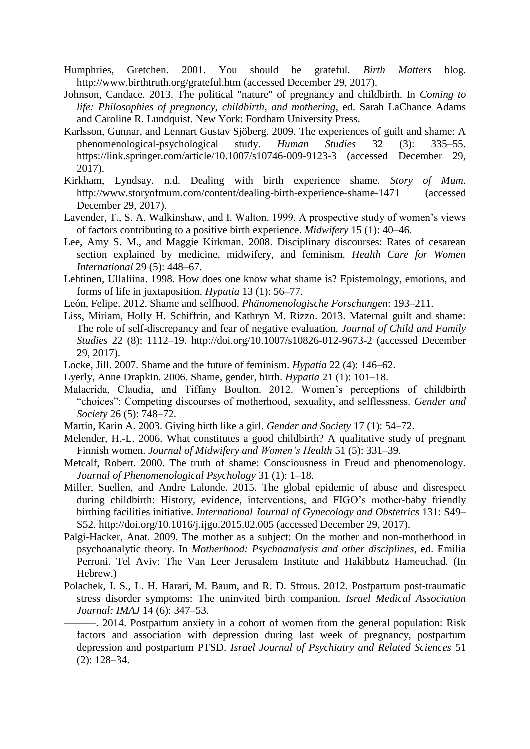- Humphries, Gretchen. 2001. You should be grateful. *Birth Matters* blog. http://www.birthtruth.org/grateful.htm (accessed December 29, 2017).
- Johnson, Candace. 2013. The political "nature" of pregnancy and childbirth. In *Coming to life: Philosophies of pregnancy, childbirth, and mothering*, ed. Sarah LaChance Adams and Caroline R. Lundquist. New York: Fordham University Press.
- Karlsson, Gunnar, and Lennart Gustav Sjöberg. 2009. The experiences of guilt and shame: A phenomenological-psychological study. *Human Studies* 32 (3): 335–55. https://link.springer.com/article/10.1007/s10746-009-9123-3 (accessed December 29, 2017).
- Kirkham, Lyndsay. n.d. Dealing with birth experience shame. *Story of Mum.*  http://www.storyofmum.com/content/dealing-birth-experience-shame-1471 (accessed December 29, 2017).
- Lavender, T., S. A. Walkinshaw, and I. Walton. 1999. A prospective study of women's views of factors contributing to a positive birth experience. *Midwifery* 15 (1): 40–46.
- Lee, Amy S. M., and Maggie Kirkman. 2008. Disciplinary discourses: Rates of cesarean section explained by medicine, midwifery, and feminism. *Health Care for Women International* 29 (5): 448–67.
- Lehtinen, Ullaliina. 1998. How does one know what shame is? Epistemology, emotions, and forms of life in juxtaposition. *Hypatia* 13 (1): 56–77.
- León, Felipe. 2012. Shame and selfhood. *Phänomenologische Forschungen*: 193–211.
- Liss, Miriam, Holly H. Schiffrin, and Kathryn M. Rizzo. 2013. Maternal guilt and shame: The role of self-discrepancy and fear of negative evaluation. *Journal of Child and Family Studies* 22 (8): 1112–19. http://doi.org/10.1007/s10826-012-9673-2 (accessed December 29, 2017).
- Locke, Jill. 2007. Shame and the future of feminism. *Hypatia* 22 (4): 146–62.
- Lyerly, Anne Drapkin. 2006. Shame, gender, birth. *Hypatia* 21 (1): 101–18.
- Malacrida, Claudia, and Tiffany Boulton. 2012. Women's perceptions of childbirth "choices": Competing discourses of motherhood, sexuality, and selflessness. *Gender and Society* 26 (5): 748–72.
- Martin, Karin A. 2003. Giving birth like a girl. *Gender and Society* 17 (1): 54–72.
- Melender, H.-L. 2006. What constitutes a good childbirth? A qualitative study of pregnant Finnish women. *Journal of Midwifery and Women's Health* 51 (5): 331–39.
- Metcalf, Robert. 2000. The truth of shame: Consciousness in Freud and phenomenology. *Journal of Phenomenological Psychology* 31 (1): 1–18.
- Miller, Suellen, and Andre Lalonde. 2015. The global epidemic of abuse and disrespect during childbirth: History, evidence, interventions, and FIGO's mother-baby friendly birthing facilities initiative. *International Journal of Gynecology and Obstetrics* 131: S49– S52. http://doi.org/10.1016/j.ijgo.2015.02.005 (accessed December 29, 2017).
- Palgi-Hacker, Anat. 2009. The mother as a subject: On the mother and non-motherhood in psychoanalytic theory. In *Motherhood: Psychoanalysis and other disciplines*, ed. Emilia Perroni. Tel Aviv: The Van Leer Jerusalem Institute and Hakibbutz Hameuchad. (In Hebrew.)
- Polachek, I. S., L. H. Harari, M. Baum, and R. D. Strous. 2012. Postpartum post-traumatic stress disorder symptoms: The uninvited birth companion. *Israel Medical Association Journal: IMAJ* 14 (6): 347–53.
	- ———. 2014. Postpartum anxiety in a cohort of women from the general population: Risk factors and association with depression during last week of pregnancy, postpartum depression and postpartum PTSD. *Israel Journal of Psychiatry and Related Sciences* 51 (2): 128–34.